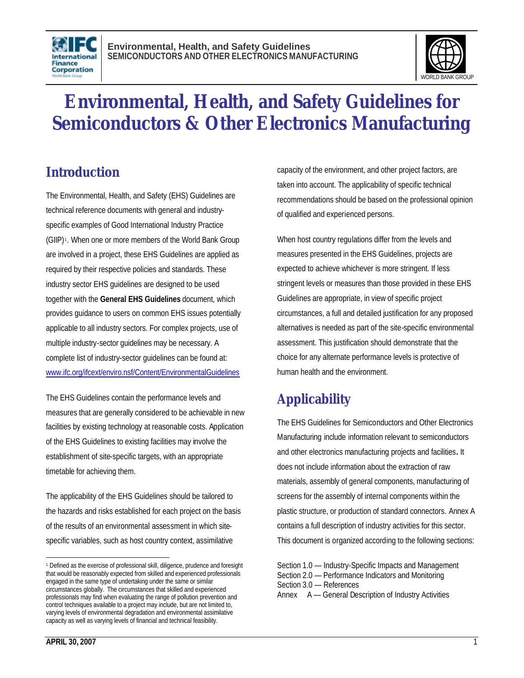



# **Environmental, Health, and Safety Guidelines for Semiconductors & Other Electronics Manufacturing**

## **Introduction**

The Environmental, Health, and Safety (EHS) Guidelines are technical reference documents with general and industryspecific examples of Good International Industry Practice (GIIP) <sup>1</sup> . When one or more members of the World Bank Group are involved in a project, these EHS Guidelines are applied as required by their respective policies and standards. These industry sector EHS guidelines are designed to be used together with the **General EHS Guidelines** document, which provides guidance to users on common EHS issues potentially applicable to all industry sectors. For complex projects, use of multiple industry-sector guidelines may be necessary. A complete list of industry-sector guidelines can be found at: www.ifc.org/ifcext/enviro.nsf/Content/EnvironmentalGuidelines

The EHS Guidelines contain the performance levels and measures that are generally considered to be achievable in new facilities by existing technology at reasonable costs. Application of the EHS Guidelines to existing facilities may involve the establishment of site-specific targets, with an appropriate timetable for achieving them.

The applicability of the EHS Guidelines should be tailored to the hazards and risks established for each project on the basis of the results of an environmental assessment in which sitespecific variables, such as host country context, assimilative

capacity of the environment, and other project factors, are taken into account. The applicability of specific technical recommendations should be based on the professional opinion of qualified and experienced persons.

When host country regulations differ from the levels and measures presented in the EHS Guidelines, projects are expected to achieve whichever is more stringent. If less stringent levels or measures than those provided in these EHS Guidelines are appropriate, in view of specific project circumstances, a full and detailed justification for any proposed alternatives is needed as part of the site-specific environmental assessment. This justification should demonstrate that the choice for any alternate performance levels is protective of human health and the environment.

## **Applicability**

The EHS Guidelines for Semiconductors and Other Electronics Manufacturing include information relevant to semiconductors and other electronics manufacturing projects and facilities**.** It does not include information about the extraction of raw materials, assembly of general components, manufacturing of screens for the assembly of internal components within the plastic structure, or production of standard connectors. Annex A contains a full description of industry activities for this sector. This document is organized according to the following sections:

Section 1.0 — Industry-Specific Impacts and Management Section 2.0 — Performance Indicators and Monitoring Section 3.0 — References Annex A — General Description of Industry Activities

 $\overline{a}$ <sup>1</sup> Defined as the exercise of professional skill, diligence, prudence and foresight that would be reasonably expected from skilled and experienced professionals engaged in the same type of undertaking under the same or similar circumstances globally. The circumstances that skilled and experienced professionals may find when evaluating the range of pollution prevention and control techniques available to a project may include, but are not limited to, varying levels of environmental degradation and environmental assimilative capacity as well as varying levels of financial and technical feasibility.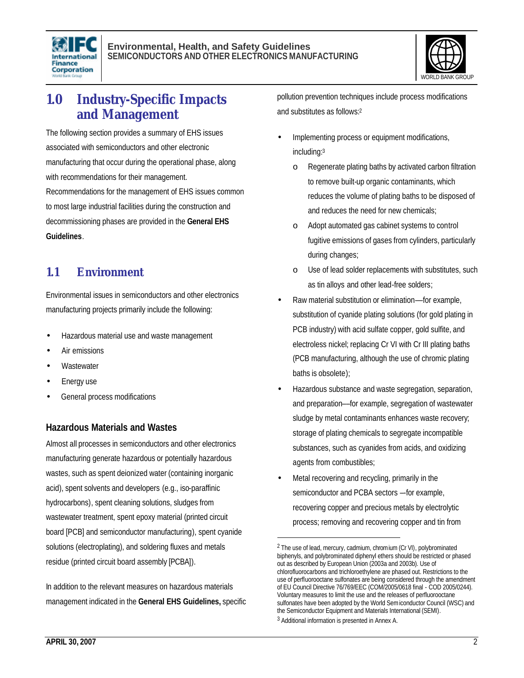



### **1.0 Industry-Specific Impacts and Management**

The following section provides a summary of EHS issues associated with semiconductors and other electronic manufacturing that occur during the operational phase, along with recommendations for their management.

Recommendations for the management of EHS issues common to most large industrial facilities during the construction and decommissioning phases are provided in the **General EHS Guidelines**.

#### **1.1 Environment**

Environmental issues in semiconductors and other electronics manufacturing projects primarily include the following:

- Hazardous material use and waste management
- Air emissions
- **Wastewater**
- Energy use
- General process modifications

#### **Hazardous Materials and Wastes**

Almost all processes in semiconductors and other electronics manufacturing generate hazardous or potentially hazardous wastes, such as spent deionized water (containing inorganic acid), spent solvents and developers (e.g., iso-paraffinic hydrocarbons), spent cleaning solutions, sludges from wastewater treatment, spent epoxy material (printed circuit board [PCB] and semiconductor manufacturing), spent cyanide solutions (electroplating), and soldering fluxes and metals residue (printed circuit board assembly [PCBA]).

In addition to the relevant measures on hazardous materials management indicated in the **General EHS Guidelines,** specific pollution prevention techniques include process modifications and substitutes as follows:<sup>2</sup>

- Implementing process or equipment modifications, including:<sup>3</sup>
	- o Regenerate plating baths by activated carbon filtration to remove built-up organic contaminants, which reduces the volume of plating baths to be disposed of and reduces the need for new chemicals;
	- o Adopt automated gas cabinet systems to control fugitive emissions of gases from cylinders, particularly during changes;
	- o Use of lead solder replacements with substitutes, such as tin alloys and other lead-free solders;
- Raw material substitution or elimination––for example, substitution of cyanide plating solutions (for gold plating in PCB industry) with acid sulfate copper, gold sulfite, and electroless nickel; replacing Cr VI with Cr III plating baths (PCB manufacturing, although the use of chromic plating baths is obsolete);
- Hazardous substance and waste segregation, separation, and preparation––for example, segregation of wastewater sludge by metal contaminants enhances waste recovery; storage of plating chemicals to segregate incompatible substances, such as cyanides from acids, and oxidizing agents from combustibles;
- Metal recovering and recycling, primarily in the semiconductor and PCBA sectors –-for example, recovering copper and precious metals by electrolytic process; removing and recovering copper and tin from

1

<sup>2</sup> The use of lead, mercury, cadmium, chromium (Cr VI), polybrominated biphenyls, and polybrominated diphenyl ethers should be restricted or phased out as described by European Union (2003a and 2003b). Use of chlorofluorocarbons and trichloroethylene are phased out. Restrictions to the use of perfluorooctane sulfonates are being considered through the amendment of EU Council Directive 76/769/EEC (COM/2005/0618 final - COD 2005/0244). Voluntary measures to limit the use and the releases of perfluorooctane sulfonates have been adopted by the World Semiconductor Council (WSC) and the Semiconductor Equipment and Materials International (SEMI). 3 Additional information is presented in Annex A.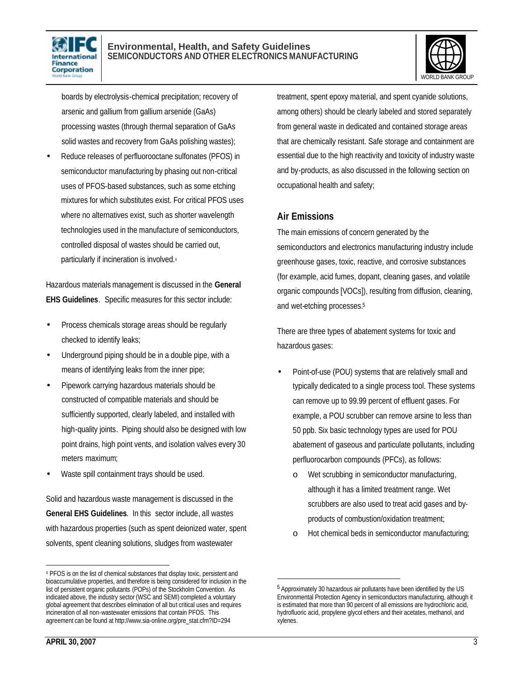



boards by electrolysis-chemical precipitation; recovery of arsenic and gallium from gallium arsenide (GaAs) processing wastes (through thermal separation of GaAs solid wastes and recovery from GaAs polishing wastes);

• Reduce releases of perfluorooctane sulfonates (PFOS) in semiconductor manufacturing by phasing out non-critical uses of PFOS-based substances, such as some etching mixtures for which substitutes exist. For critical PFOS uses where no alternatives exist, such as shorter wavelength technologies used in the manufacture of semiconductors, controlled disposal of wastes should be carried out, particularly if incineration is involved.<sup>4</sup>

Hazardous materials management is discussed in the **General EHS Guidelines**. Specific measures for this sector include:

- Process chemicals storage areas should be regularly checked to identify leaks;
- Underground piping should be in a double pipe, with a means of identifying leaks from the inner pipe;
- Pipework carrying hazardous materials should be constructed of compatible materials and should be sufficiently supported, clearly labeled, and installed with high-quality joints. Piping should also be designed with low point drains, high point vents, and isolation valves every 30 meters maximum;
- Waste spill containment trays should be used.

Solid and hazardous waste management is discussed in the **General EHS Guidelines**. In this sector include, all wastes with hazardous properties (such as spent deionized water, spent solvents, spent cleaning solutions, sludges from wastewater

treatment, spent epoxy material, and spent cyanide solutions, among others) should be clearly labeled and stored separately from general waste in dedicated and contained storage areas that are chemically resistant. Safe storage and containment are essential due to the high reactivity and toxicity of industry waste and by-products, as also discussed in the following section on occupational health and safety;

#### **Air Emissions**

1

The main emissions of concern generated by the semiconductors and electronics manufacturing industry include greenhouse gases, toxic, reactive, and corrosive substances (for example, acid fumes, dopant, cleaning gases, and volatile organic compounds [VOCs]), resulting from diffusion, cleaning, and wet-etching processes.<sup>5</sup>

There are three types of abatement systems for toxic and hazardous gases:

- Point-of-use (POU) systems that are relatively small and typically dedicated to a single process tool. These systems can remove up to 99.99 percent of effluent gases. For example, a POU scrubber can remove arsine to less than 50 ppb. Six basic technology types are used for POU abatement of gaseous and particulate pollutants, including perfluorocarbon compounds (PFCs), as follows:
	- o Wet scrubbing in semiconductor manufacturing, although it has a limited treatment range. Wet scrubbers are also used to treat acid gases and byproducts of combustion/oxidation treatment;
	- o Hot chemical beds in semiconductor manufacturing;

l

<sup>4</sup> PFOS is on the list of chemical substances that display toxic, persistent and bioaccumulative properties, and therefore is being considered for inclusion in the list of persistent organic pollutants (POPs) of the Stockholm Convention. As indicated above, the industry sector (WSC and SEMI) completed a voluntary global agreement that describes elimination of all but critical uses and requires incineration of all non-wastewater emissions that contain PFOS. This agreement can be found at http://www.sia-online.org/pre\_stat.cfm?ID=294

<sup>&</sup>lt;sup>5</sup> Approximately 30 hazardous air pollutants have been identified by the US Environmental Protection Agency in semiconductors manufacturing, although it is estimated that more than 90 percent of all emissions are hydrochloric acid, hydrofluoric acid, propylene glycol ethers and their acetates, methanol, and xylenes.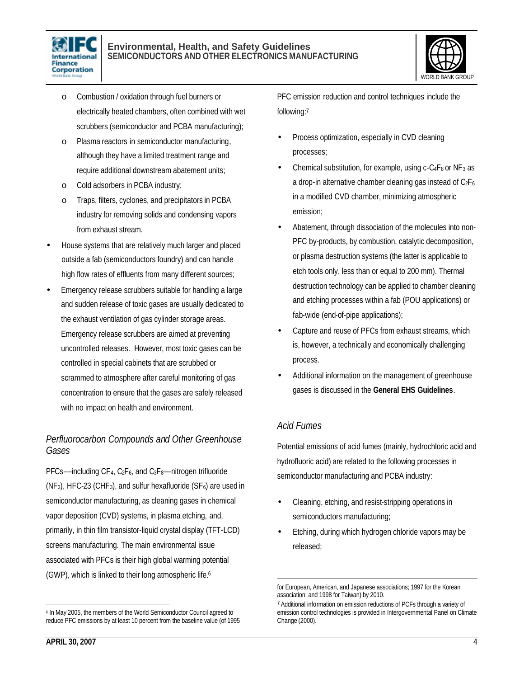

#### **Environmental, Health, and Safety Guidelines SEMICONDUCTORS AND OTHER ELECTRONICS MANUFACTURING**



- o Combustion / oxidation through fuel burners or electrically heated chambers, often combined with wet scrubbers (semiconductor and PCBA manufacturing);
- o Plasma reactors in semiconductor manufacturing, although they have a limited treatment range and require additional downstream abatement units;
- o Cold adsorbers in PCBA industry;
- o Traps, filters, cyclones, and precipitators in PCBA industry for removing solids and condensing vapors from exhaust stream.
- House systems that are relatively much larger and placed outside a fab (semiconductors foundry) and can handle high flow rates of effluents from many different sources;
- Emergency release scrubbers suitable for handling a large and sudden release of toxic gases are usually dedicated to the exhaust ventilation of gas cylinder storage areas. Emergency release scrubbers are aimed at preventing uncontrolled releases. However, most toxic gases can be controlled in special cabinets that are scrubbed or scrammed to atmosphere after careful monitoring of gas concentration to ensure that the gases are safely released with no impact on health and environment.

#### *Perfluorocarbon Compounds and Other Greenhouse Gases*

PFCs-–including CF<sub>4</sub>, C<sub>2</sub>F<sub>6</sub>, and C<sub>3</sub>F<sub>8</sub>-–nitrogen trifluoride  $(NF<sub>3</sub>)$ , HFC-23 (CHF<sub>3</sub>), and sulfur hexafluoride (SF<sub>6</sub>) are used in semiconductor manufacturing, as cleaning gases in chemical vapor deposition (CVD) systems, in plasma etching, and, primarily, in thin film transistor-liquid crystal display (TFT-LCD) screens manufacturing. The main environmental issue associated with PFCs is their high global warming potential (GWP), which is linked to their long atmospheric life.<sup>6</sup>

PFC emission reduction and control techniques include the following: 7

- Process optimization, especially in CVD cleaning processes;
- Chemical substitution, for example, using  $c$ -C<sub>4</sub>F<sub>8</sub> or NF<sub>3</sub> as a drop-in alternative chamber cleaning gas instead of  $C_2F_6$ in a modified CVD chamber, minimizing atmospheric emission;
- Abatement, through dissociation of the molecules into non-PFC by-products, by combustion, catalytic decomposition, or plasma destruction systems (the latter is applicable to etch tools only, less than or equal to 200 mm). Thermal destruction technology can be applied to chamber cleaning and etching processes within a fab (POU applications) or fab-wide (end-of-pipe applications);
- Capture and reuse of PFCs from exhaust streams, which is, however, a technically and economically challenging process.
- Additional information on the management of greenhouse gases is discussed in the **General EHS Guidelines**.

#### *Acid Fumes*

Potential emissions of acid fumes (mainly, hydrochloric acid and hydrofluoric acid) are related to the following processes in semiconductor manufacturing and PCBA industry:

- Cleaning, etching, and resist-stripping operations in semiconductors manufacturing;
- Etching, during which hydrogen chloride vapors may be released;

 $\overline{a}$ 6 In May 2005, the members of the World Semiconductor Council agreed to reduce PFC emissions by at least 10 percent from the baseline value (of 1995

 $\overline{a}$ for European, American, and Japanese associations; 1997 for the Korean association; and 1998 for Taiwan) by 2010.

<sup>&</sup>lt;sup>7</sup> Additional information on emission reductions of PCFs through a variety of emission control technologies is provided in Intergovernmental Panel on Climate Change (2000).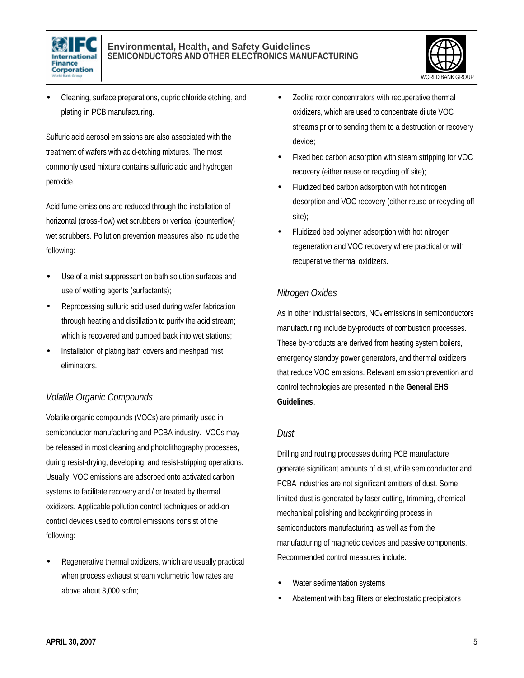



• Cleaning, surface preparations, cupric chloride etching, and plating in PCB manufacturing.

Sulfuric acid aerosol emissions are also associated with the treatment of wafers with acid-etching mixtures. The most commonly used mixture contains sulfuric acid and hydrogen peroxide.

Acid fume emissions are reduced through the installation of horizontal (cross-flow) wet scrubbers or vertical (counterflow) wet scrubbers. Pollution prevention measures also include the following:

- Use of a mist suppressant on bath solution surfaces and use of wetting agents (surfactants);
- Reprocessing sulfuric acid used during wafer fabrication through heating and distillation to purify the acid stream; which is recovered and pumped back into wet stations;
- Installation of plating bath covers and meshpad mist eliminators.

#### *Volatile Organic Compounds*

Volatile organic compounds (VOCs) are primarily used in semiconductor manufacturing and PCBA industry. VOCs may be released in most cleaning and photolithography processes, during resist-drying, developing, and resist-stripping operations. Usually, VOC emissions are adsorbed onto activated carbon systems to facilitate recovery and / or treated by thermal oxidizers. Applicable pollution control techniques or add-on control devices used to control emissions consist of the following:

Regenerative thermal oxidizers, which are usually practical when process exhaust stream volumetric flow rates are above about 3,000 scfm;

- Zeolite rotor concentrators with recuperative thermal oxidizers, which are used to concentrate dilute VOC streams prior to sending them to a destruction or recovery device;
- Fixed bed carbon adsorption with steam stripping for VOC recovery (either reuse or recycling off site);
- Fluidized bed carbon adsorption with hot nitrogen desorption and VOC recovery (either reuse or recycling off site);
- Fluidized bed polymer adsorption with hot nitrogen regeneration and VOC recovery where practical or with recuperative thermal oxidizers.

#### *Nitrogen Oxides*

As in other industrial sectors,  $NO<sub>x</sub>$  emissions in semiconductors manufacturing include by-products of combustion processes. These by-products are derived from heating system boilers, emergency standby power generators, and thermal oxidizers that reduce VOC emissions. Relevant emission prevention and control technologies are presented in the **General EHS Guidelines**.

#### *Dust*

Drilling and routing processes during PCB manufacture generate significant amounts of dust, while semiconductor and PCBA industries are not significant emitters of dust. Some limited dust is generated by laser cutting, trimming, chemical mechanical polishing and backgrinding process in semiconductors manufacturing, as well as from the manufacturing of magnetic devices and passive components. Recommended control measures include:

- Water sedimentation systems
- Abatement with bag filters or electrostatic precipitators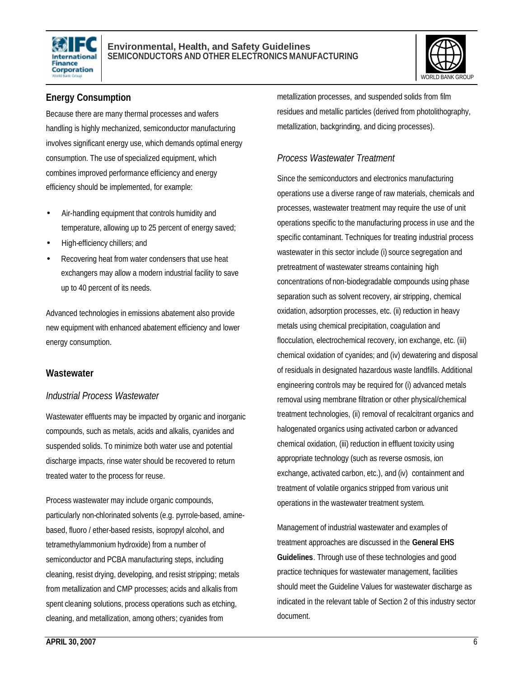



#### **Energy Consumption**

Because there are many thermal processes and wafers handling is highly mechanized, semiconductor manufacturing involves significant energy use, which demands optimal energy consumption. The use of specialized equipment, which combines improved performance efficiency and energy efficiency should be implemented, for example:

- Air-handling equipment that controls humidity and temperature, allowing up to 25 percent of energy saved;
- High-efficiency chillers; and
- Recovering heat from water condensers that use heat exchangers may allow a modern industrial facility to save up to 40 percent of its needs.

Advanced technologies in emissions abatement also provide new equipment with enhanced abatement efficiency and lower energy consumption.

#### **Wastewater**

#### *Industrial Process Wastewater*

Wastewater effluents may be impacted by organic and inorganic compounds, such as metals, acids and alkalis, cyanides and suspended solids. To minimize both water use and potential discharge impacts, rinse water should be recovered to return treated water to the process for reuse.

Process wastewater may include organic compounds, particularly non-chlorinated solvents (e.g. pyrrole-based, aminebased, fluoro / ether-based resists, isopropyl alcohol, and tetramethylammonium hydroxide) from a number of semiconductor and PCBA manufacturing steps, including cleaning, resist drying, developing, and resist stripping; metals from metallization and CMP processes; acids and alkalis from spent cleaning solutions, process operations such as etching, cleaning, and metallization, among others; cyanides from

metallization processes, and suspended solids from film residues and metallic particles (derived from photolithography, metallization, backgrinding, and dicing processes).

#### *Process Wastewater Treatment*

Since the semiconductors and electronics manufacturing operations use a diverse range of raw materials, chemicals and processes, wastewater treatment may require the use of unit operations specific to the manufacturing process in use and the specific contaminant. Techniques for treating industrial process wastewater in this sector include (i) source segregation and pretreatment of wastewater streams containing high concentrations of non-biodegradable compounds using phase separation such as solvent recovery, air stripping, chemical oxidation, adsorption processes, etc. (ii) reduction in heavy metals using chemical precipitation, coagulation and flocculation, electrochemical recovery, ion exchange, etc. (iii) chemical oxidation of cyanides; and (iv) dewatering and disposal of residuals in designated hazardous waste landfills. Additional engineering controls may be required for (i) advanced metals removal using membrane filtration or other physical/chemical treatment technologies, (ii) removal of recalcitrant organics and halogenated organics using activated carbon or advanced chemical oxidation, (iii) reduction in effluent toxicity using appropriate technology (such as reverse osmosis, ion exchange, activated carbon, etc.), and (iv) containment and treatment of volatile organics stripped from various unit operations in the wastewater treatment system.

Management of industrial wastewater and examples of treatment approaches are discussed in the **General EHS Guidelines**. Through use of these technologies and good practice techniques for wastewater management, facilities should meet the Guideline Values for wastewater discharge as indicated in the relevant table of Section 2 of this industry sector document.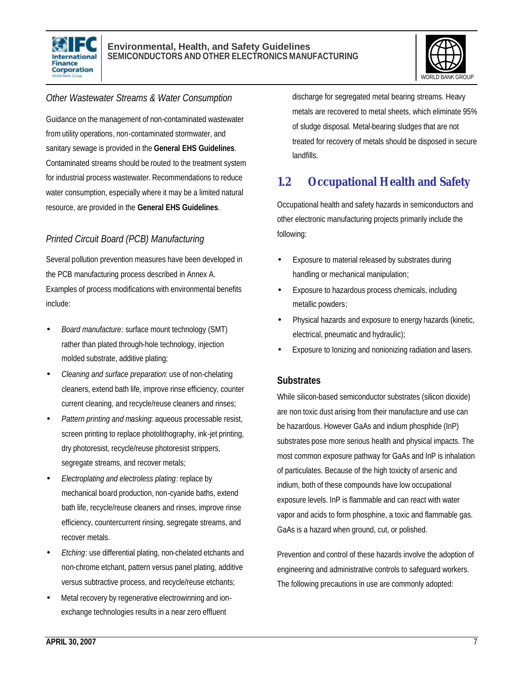



#### *Other Wastewater Streams & Water Consumption*

Guidance on the management of non-contaminated wastewater from utility operations, non-contaminated stormwater, and sanitary sewage is provided in the **General EHS Guidelines**. Contaminated streams should be routed to the treatment system for industrial process wastewater. Recommendations to reduce water consumption, especially where it may be a limited natural resource, are provided in the **General EHS Guidelines**.

#### *Printed Circuit Board (PCB) Manufacturing*

Several pollution prevention measures have been developed in the PCB manufacturing process described in Annex A. Examples of process modifications with environmental benefits include:

- *Board manufacture*: surface mount technology (SMT) rather than plated through-hole technology, injection molded substrate, additive plating;
- *Cleaning and surface preparation*: use of non-chelating cleaners, extend bath life, improve rinse efficiency, counter current cleaning, and recycle/reuse cleaners and rinses;
- *Pattern printing and masking*: aqueous processable resist, screen printing to replace photolithography, ink-jet printing, dry photoresist, recycle/reuse photoresist strippers, segregate streams, and recover metals;
- *Electroplating and electroless plating*: replace by mechanical board production, non-cyanide baths, extend bath life, recycle/reuse cleaners and rinses, improve rinse efficiency, countercurrent rinsing, segregate streams, and recover metals.
- *Etching*: use differential plating, non-chelated etchants and non-chrome etchant, pattern versus panel plating, additive versus subtractive process, and recycle/reuse etchants;
- Metal recovery by regenerative electrowinning and ionexchange technologies results in a near zero effluent

discharge for segregated metal bearing streams. Heavy metals are recovered to metal sheets, which eliminate 95% of sludge disposal. Metal-bearing sludges that are not treated for recovery of metals should be disposed in secure landfills.

### **1.2 Occupational Health and Safety**

Occupational health and safety hazards in semiconductors and other electronic manufacturing projects primarily include the following:

- Exposure to material released by substrates during handling or mechanical manipulation;
- Exposure to hazardous process chemicals, including metallic powders;
- Physical hazards and exposure to energy hazards (kinetic, electrical, pneumatic and hydraulic);
- Exposure to Ionizing and nonionizing radiation and lasers.

#### **Substrates**

While silicon-based semiconductor substrates (silicon dioxide) are non toxic dust arising from their manufacture and use can be hazardous. However GaAs and indium phosphide (InP) substrates pose more serious health and physical impacts. The most common exposure pathway for GaAs and InP is inhalation of particulates. Because of the high toxicity of arsenic and indium, both of these compounds have low occupational exposure levels. InP is flammable and can react with water vapor and acids to form phosphine, a toxic and flammable gas. GaAs is a hazard when ground, cut, or polished.

Prevention and control of these hazards involve the adoption of engineering and administrative controls to safeguard workers. The following precautions in use are commonly adopted: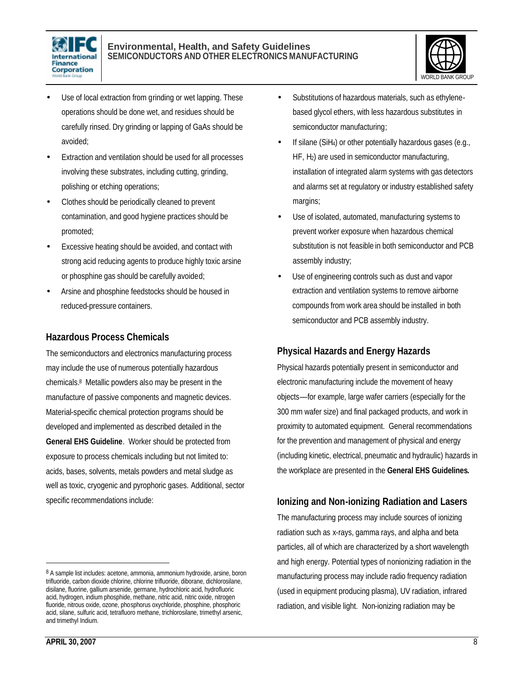



- Use of local extraction from grinding or wet lapping. These operations should be done wet, and residues should be carefully rinsed. Dry grinding or lapping of GaAs should be avoided;
- Extraction and ventilation should be used for all processes involving these substrates, including cutting, grinding, polishing or etching operations;
- Clothes should be periodically cleaned to prevent contamination, and good hygiene practices should be promoted;
- Excessive heating should be avoided, and contact with strong acid reducing agents to produce highly toxic arsine or phosphine gas should be carefully avoided;
- Arsine and phosphine feedstocks should be housed in reduced-pressure containers.

#### **Hazardous Process Chemicals**

The semiconductors and electronics manufacturing process may include the use of numerous potentially hazardous chemicals. 8 Metallic powders also may be present in the manufacture of passive components and magnetic devices. Material-specific chemical protection programs should be developed and implemented as described detailed in the **General EHS Guideline**. Worker should be protected from exposure to process chemicals including but not limited to: acids, bases, solvents, metals powders and metal sludge as well as toxic, cryogenic and pyrophoric gases. Additional, sector specific recommendations include:

- Substitutions of hazardous materials, such as ethylenebased glycol ethers, with less hazardous substitutes in semiconductor manufacturing;
- If silane (SiH4) or other potentially hazardous gases (e.g., HF, H2) are used in semiconductor manufacturing, installation of integrated alarm systems with gas detectors and alarms set at regulatory or industry established safety margins;
- Use of isolated, automated, manufacturing systems to prevent worker exposure when hazardous chemical substitution is not feasible in both semiconductor and PCB assembly industry;
- Use of engineering controls such as dust and vapor extraction and ventilation systems to remove airborne compounds from work area should be installed in both semiconductor and PCB assembly industry.

#### **Physical Hazards and Energy Hazards**

Physical hazards potentially present in semiconductor and electronic manufacturing include the movement of heavy objects––for example, large wafer carriers (especially for the 300 mm wafer size) and final packaged products, and work in proximity to automated equipment. General recommendations for the prevention and management of physical and energy (including kinetic, electrical, pneumatic and hydraulic) hazards in the workplace are presented in the **General EHS Guidelines.** 

#### **Ionizing and Non-ionizing Radiation and Lasers**

The manufacturing process may include sources of ionizing radiation such as x-rays, gamma rays, and alpha and beta particles, all of which are characterized by a short wavelength and high energy. Potential types of nonionizing radiation in the manufacturing process may include radio frequency radiation (used in equipment producing plasma), UV radiation, infrared radiation, and visible light. Non-ionizing radiation may be

 $\overline{a}$ 

<sup>&</sup>lt;sup>8</sup> A sample list includes: acetone, ammonia, ammonium hydroxide, arsine, boron trifluoride, carbon dioxide chlorine, chlorine trifluoride, diborane, dichlorosilane, disilane, fluorine, gallium arsenide, germane, hydrochloric acid, hydrofluoric acid, hydrogen, indium phosphide, methane, nitric acid, nitric oxide, nitrogen fluoride, nitrous oxide, ozone, phosphorus oxychloride, phosphine, phosphoric acid, silane, sulfuric acid, tetrafluoro methane, trichlorosilane, trimethyl arsenic, and trimethyl Indium.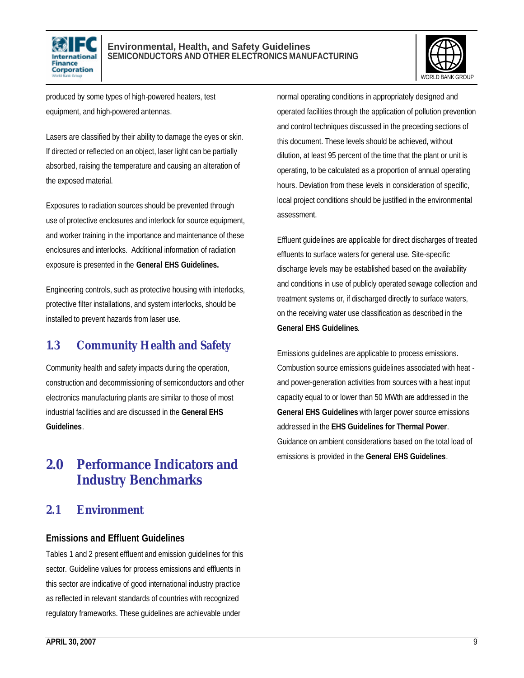



produced by some types of high-powered heaters, test equipment, and high-powered antennas.

Lasers are classified by their ability to damage the eyes or skin. If directed or reflected on an object, laser light can be partially absorbed, raising the temperature and causing an alteration of the exposed material.

Exposures to radiation sources should be prevented through use of protective enclosures and interlock for source equipment, and worker training in the importance and maintenance of these enclosures and interlocks. Additional information of radiation exposure is presented in the **General EHS Guidelines.**

Engineering controls, such as protective housing with interlocks, protective filter installations, and system interlocks, should be installed to prevent hazards from laser use.

### **1.3 Community Health and Safety**

Community health and safety impacts during the operation, construction and decommissioning of semiconductors and other electronics manufacturing plants are similar to those of most industrial facilities and are discussed in the **General EHS Guidelines**.

## **2.0 Performance Indicators and Industry Benchmarks**

### **2.1 Environment**

#### **Emissions and Effluent Guidelines**

Tables 1 and 2 present effluent and emission guidelines for this sector. Guideline values for process emissions and effluents in this sector are indicative of good international industry practice as reflected in relevant standards of countries with recognized regulatory frameworks. These guidelines are achievable under

normal operating conditions in appropriately designed and operated facilities through the application of pollution prevention and control techniques discussed in the preceding sections of this document. These levels should be achieved, without dilution, at least 95 percent of the time that the plant or unit is operating, to be calculated as a proportion of annual operating hours. Deviation from these levels in consideration of specific, local project conditions should be justified in the environmental assessment.

Effluent guidelines are applicable for direct discharges of treated effluents to surface waters for general use. Site-specific discharge levels may be established based on the availability and conditions in use of publicly operated sewage collection and treatment systems or, if discharged directly to surface waters, on the receiving water use classification as described in the **General EHS Guidelines**.

Emissions guidelines are applicable to process emissions. Combustion source emissions guidelines associated with heat and power-generation activities from sources with a heat input capacity equal to or lower than 50 MWth are addressed in the **General EHS Guidelines** with larger power source emissions addressed in the **EHS Guidelines for Thermal Power**. Guidance on ambient considerations based on the total load of emissions is provided in the **General EHS Guidelines**.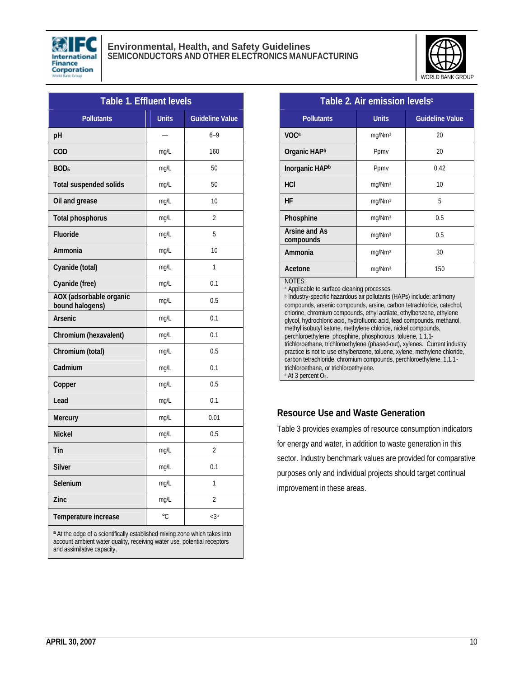



| Table 1. Effluent levels                                                   |              |                        |  |  |
|----------------------------------------------------------------------------|--------------|------------------------|--|--|
| <b>Pollutants</b>                                                          | <b>Units</b> | <b>Guideline Value</b> |  |  |
| pH                                                                         |              | $6 - 9$                |  |  |
| <b>COD</b>                                                                 | mg/L         | 160                    |  |  |
| BOD <sub>5</sub>                                                           | mg/L         | 50                     |  |  |
| <b>Total suspended solids</b>                                              | mg/L         | 50                     |  |  |
| Oil and grease                                                             | mg/L         | 10                     |  |  |
| <b>Total phosphorus</b>                                                    | mg/L         | $\overline{2}$         |  |  |
| Fluoride                                                                   | mq/L         | 5                      |  |  |
| Ammonia                                                                    | mg/L         | 10                     |  |  |
| Cyanide (total)                                                            | mq/L         | 1                      |  |  |
| Cyanide (free)                                                             | mg/L         | 0.1                    |  |  |
| AOX (adsorbable organic<br>bound halogens)                                 | mg/L         | 0.5                    |  |  |
| <b>Arsenic</b>                                                             | mg/L         | 0.1                    |  |  |
| Chromium (hexavalent)                                                      | mg/L         | 0.1                    |  |  |
| Chromium (total)                                                           | mq/L         | 0.5                    |  |  |
| Cadmium                                                                    | mg/L         | 0.1                    |  |  |
| Copper                                                                     | mg/L         | 0.5                    |  |  |
| Lead                                                                       | mg/L         | 0.1                    |  |  |
| Mercury                                                                    | mg/L         | 0.01                   |  |  |
| <b>Nickel</b>                                                              | mg/L         | 0.5                    |  |  |
| Tin                                                                        | mg/L         | $\overline{2}$         |  |  |
| <b>Silver</b>                                                              | mg/L         | 0.1                    |  |  |
| Selenium                                                                   | mq/L         | 1                      |  |  |
| Zinc                                                                       | mg/L         | 2                      |  |  |
| Temperature increase                                                       | $\circ$ C    | $<$ 3a                 |  |  |
| a At the edge of a scientifically established mixing zone which takes into |              |                        |  |  |

**<sup>a</sup>** At the edge of a scientifically established mixing zone which takes into account ambient water quality, receiving water use, potential receptors and assimilative capacity.

| Table 2. Air emission levels <sup>c</sup>                        |                    |                        |  |  |
|------------------------------------------------------------------|--------------------|------------------------|--|--|
| <b>Pollutants</b>                                                | <b>Units</b>       | <b>Guideline Value</b> |  |  |
| <b>VOCa</b>                                                      | mg/Nm <sup>3</sup> | 20                     |  |  |
| Organic HAP <sup>b</sup>                                         | Ppmv               | 20                     |  |  |
| Inorganic HAP <sup>b</sup>                                       | Ppmv               | 0.42                   |  |  |
| HCI                                                              | mg/Nm <sup>3</sup> | 10                     |  |  |
| <b>HF</b>                                                        | mg/Nm <sup>3</sup> | 5                      |  |  |
| Phosphine                                                        | mg/Nm <sup>3</sup> | 0.5                    |  |  |
| Arsine and As<br>compounds                                       | mg/Nm <sup>3</sup> | 0.5                    |  |  |
| Ammonia                                                          | mg/Nm <sup>3</sup> | 30                     |  |  |
| Acetone                                                          | mg/Nm <sup>3</sup> | 150                    |  |  |
| NOTES:<br><sup>a</sup> Applicable to surface cleaning processes. |                    |                        |  |  |

b Industry-specific hazardous air pollutants (HAPs) include: antimony compounds, arsenic compounds, arsine, carbon tetrachloride, catechol, chlorine, chromium compounds, ethyl acrilate, ethylbenzene, ethylene glycol, hydrochloric acid, hydrofluoric acid, lead compounds, methanol, methyl isobutyl ketone, methylene chloride, nickel compounds, perchloroethylene, phosphine, phosphorous, toluene, 1,1,1 trichloroethane, trichloroethylene (phased-out), xylenes. Current industry practice is not to use ethylbenzene, toluene, xylene, methylene chloride, carbon tetrachloride, chromium compounds, perchloroethylene, 1,1,1 trichloroethane, or trichloroethylene. <sup>c</sup> At 3 percent O<sub>2</sub>.

#### **Resource Use and Waste Generation**

Table 3 provides examples of resource consumption indicators for energy and water, in addition to waste generation in this sector. Industry benchmark values are provided for comparative purposes only and individual projects should target continual improvement in these areas.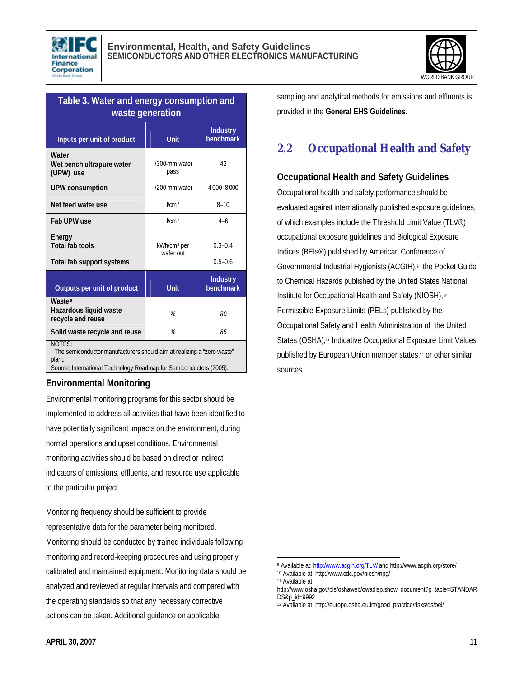



| Table 3. Water and energy consumption and<br>waste generation                                                                                                                         |                                      |                              |  |  |
|---------------------------------------------------------------------------------------------------------------------------------------------------------------------------------------|--------------------------------------|------------------------------|--|--|
| Inputs per unit of product                                                                                                                                                            | <b>Unit</b>                          | <b>Industry</b><br>benchmark |  |  |
| Water<br>Wet bench ultrapure water<br>(UPW) use                                                                                                                                       | 42<br>I/300-mm wafer<br>pass         |                              |  |  |
| <b>UPW consumption</b>                                                                                                                                                                | I/200-mm wafer                       | 4000-8000                    |  |  |
| Net feed water use                                                                                                                                                                    | l/cm <sup>2</sup>                    | $8 - 10$                     |  |  |
| Fab UPW use                                                                                                                                                                           | l/cm <sup>2</sup>                    | $4 - 6$                      |  |  |
| Energy<br><b>Total fab tools</b>                                                                                                                                                      | kWh/cm <sup>2</sup> per<br>wafer out | $0.3 - 0.4$                  |  |  |
| Total fab support systems                                                                                                                                                             |                                      | $0.5 - 0.6$                  |  |  |
| Outputs per unit of product                                                                                                                                                           | <b>Unit</b>                          | <b>Industry</b><br>benchmark |  |  |
| <b>Waste<sup>a</sup></b><br>Hazardous liquid waste<br>recycle and reuse                                                                                                               | %<br>80                              |                              |  |  |
| Solid waste recycle and reuse                                                                                                                                                         | %<br>85                              |                              |  |  |
| <b>NOTES:</b><br><sup>a</sup> The semiconductor manufacturers should aim at realizing a "zero waste"<br>plant.<br>Source: International Technology Roadmap for Semiconductors (2005). |                                      |                              |  |  |

#### **Environmental Monitoring**

Environmental monitoring programs for this sector should be implemented to address all activities that have been identified to have potentially significant impacts on the environment, during normal operations and upset conditions. Environmental monitoring activities should be based on direct or indirect indicators of emissions, effluents, and resource use applicable to the particular project.

Monitoring frequency should be sufficient to provide representative data for the parameter being monitored. Monitoring should be conducted by trained individuals following monitoring and record-keeping procedures and using properly calibrated and maintained equipment. Monitoring data should be analyzed and reviewed at regular intervals and compared with the operating standards so that any necessary corrective actions can be taken. Additional guidance on applicable

sampling and analytical methods for emissions and effluents is provided in the **General EHS Guidelines.**

## **2.2 Occupational Health and Safety**

#### **Occupational Health and Safety Guidelines**

Occupational health and safety performance should be evaluated against internationally published exposure guidelines, of which examples include the Threshold Limit Value (TLV®) occupational exposure guidelines and Biological Exposure Indices (BEIs®) published by American Conference of Governmental Industrial Hygienists (ACGIH),<sup>9</sup> the Pocket Guide to Chemical Hazards published by the United States National Institute for Occupational Health and Safety (NIOSH),<sup>10</sup> Permissible Exposure Limits (PELs) published by the Occupational Safety and Health Administration of the United States (OSHA),<sup>11</sup> Indicative Occupational Exposure Limit Values published by European Union member states,12 or other similar sources.

<sup>1</sup> <sup>9</sup> Available at: http://www.acgih.org/TLV/ and http://www.acgih.org/store/

<sup>10</sup> Available at: http://www.cdc.gov/niosh/npg/

<sup>11</sup> Available at:

http://www.osha.gov/pls/oshaweb/owadisp.show\_document?p\_table=STANDAR DS&p\_id=9992

<sup>12</sup> Available at: http://europe.osha.eu.int/good\_practice/risks/ds/oel/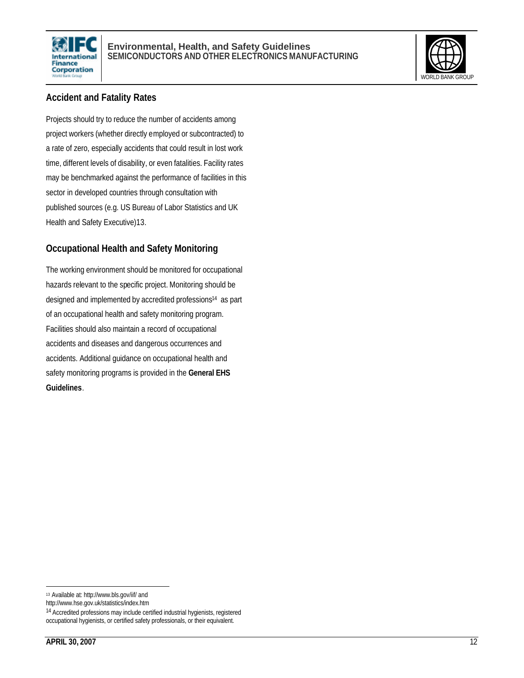



#### **Accident and Fatality Rates**

Projects should try to reduce the number of accidents among project workers (whether directly employed or subcontracted) to a rate of zero, especially accidents that could result in lost work time, different levels of disability, or even fatalities. Facility rates may be benchmarked against the performance of facilities in this sector in developed countries through consultation with published sources (e.g. US Bureau of Labor Statistics and UK Health and Safety Executive)13.

#### **Occupational Health and Safety Monitoring**

The working environment should be monitored for occupational hazards relevant to the specific project. Monitoring should be designed and implemented by accredited professions<sup>14</sup> as part of an occupational health and safety monitoring program. Facilities should also maintain a record of occupational accidents and diseases and dangerous occurrences and accidents. Additional guidance on occupational health and safety monitoring programs is provided in the **General EHS Guidelines**.

 $\overline{a}$ 

<sup>13</sup> Available at: http://www.bls.gov/iif/ and

http://www.hse.gov.uk/statistics/index.htm

<sup>14</sup> Accredited professions may include certified industrial hygienists, registered occupational hygienists, or certified safety professionals, or their equivalent.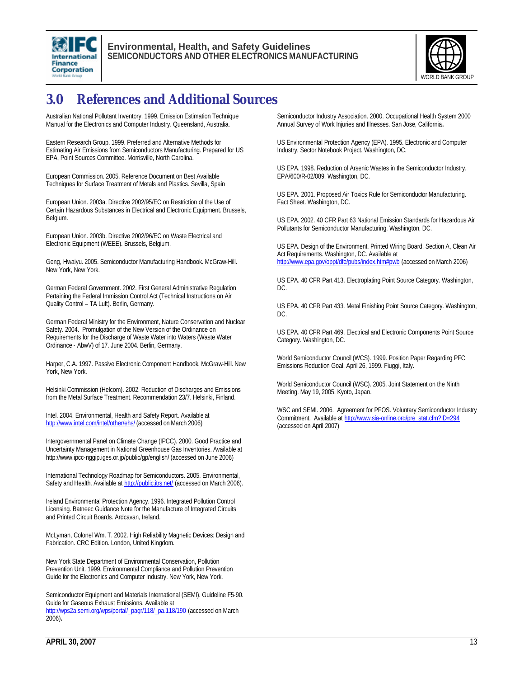



## **3.0 References and Additional Sources**

Australian National Pollutant Inventory. 1999. Emission Estimation Technique Manual for the Electronics and Computer Industry. Queensland, Australia.

Eastern Research Group. 1999. Preferred and Alternative Methods for Estimating Air Emissions from Semiconductors Manufacturing. Prepared for US EPA, Point Sources Committee. Morrisville, North Carolina.

European Commission. 2005. Reference Document on Best Available Techniques for Surface Treatment of Metals and Plastics. Sevilla, Spain

European Union. 2003a. Directive 2002/95/EC on Restriction of the Use of Certain Hazardous Substances in Electrical and Electronic Equipment. Brussels, Belgium.

European Union. 2003b. Directive 2002/96/EC on Waste Electrical and Electronic Equipment (WEEE). Brussels, Belgium.

Geng, Hwaiyu. 2005. Semiconductor Manufacturing Handbook*.* McGraw-Hill. New York, New York.

German Federal Government. 2002. First General Administrative Regulation Pertaining the Federal Immission Control Act (Technical Instructions on Air Quality Control – TA Luft). Berlin, Germany.

German Federal Ministry for the Environment, Nature Conservation and Nuclear Safety. 2004. Promulgation of the New Version of the Ordinance on Requirements for the Discharge of Waste Water into Waters (Waste Water Ordinance - AbwV) of 17. June 2004. Berlin, Germany.

Harper, C.A. 1997. Passive Electronic Component Handbook*.* McGraw-Hill. New York, New York.

Helsinki Commission (Helcom). 2002. Reduction of Discharges and Emissions from the Metal Surface Treatment. Recommendation 23/7. Helsinki, Finland.

Intel. 2004. Environmental, Health and Safety Report. Available at http://www.intel.com/intel/other/ehs/ (accessed on March 2006)

Intergovernmental Panel on Climate Change (IPCC). 2000. Good Practice and Uncertainty Management in National Greenhouse Gas Inventories. Available at http://www.ipcc-nggip.iges.or.jp/public/gp/english/ (accessed on June 2006)

International Technology Roadmap for Semiconductors. 2005. Environmental, Safety and Health. Available at *http://public.itrs.net/* (accessed on March 2006).

Ireland Environmental Protection Agency. 1996. Integrated Pollution Control Licensing. Batneec Guidance Note for the Manufacture of Integrated Circuits and Printed Circuit Boards. Ardcavan, Ireland.

McLyman, Colonel Wm. T. 2002. High Reliability Magnetic Devices: Design and Fabrication. CRC Edition. London, United Kingdom.

New York State Department of Environmental Conservation, Pollution Prevention Unit. 1999. Environmental Compliance and Pollution Prevention Guide for the Electronics and Computer Industry. New York, New York.

Semiconductor Equipment and Materials International (SEMI). Guideline F5-90. Guide for Gaseous Exhaust Emissions. Available at http://wps2a.semi.org/wps/portal/\_pagr/118/\_pa.118/190 (accessed on March 2006)**.**

Semiconductor Industry Association. 2000. Occupational Health System 2000 Annual Survey of Work Injuries and Illnesses. San Jose, California**.**

US Environmental Protection Agency (EPA). 1995. Electronic and Computer Industry, Sector Notebook Project. Washington, DC.

US EPA. 1998. Reduction of Arsenic Wastes in the Semiconductor Industry. EPA/600/R-02/089. Washington, DC.

US EPA. 2001. Proposed Air Toxics Rule for Semiconductor Manufacturing. Fact Sheet. Washington, DC.

US EPA. 2002. 40 CFR Part 63 National Emission Standards for Hazardous Air Pollutants for Semiconductor Manufacturing. Washington, DC.

US EPA. Design of the Environment. Printed Wiring Board. Section A, Clean Air Act Requirements. Washington, DC. Available at http://www.epa.gov/oppt/dfe/pubs/index.htm#pwb (accessed on March 2006)

US EPA. 40 CFR Part 413. Electroplating Point Source Category. Washington, DC.

US EPA. 40 CFR Part 433. Metal Finishing Point Source Category. Washington, DC.

US EPA. 40 CFR Part 469. Electrical and Electronic Components Point Source Category. Washington, DC.

World Semiconductor Council (WCS). 1999. Position Paper Regarding PFC Emissions Reduction Goal, April 26, 1999. Fiuggi, Italy.

World Semiconductor Council (WSC). 2005. Joint Statement on the Ninth Meeting. May 19, 2005, Kyoto, Japan.

WSC and SEMI. 2006. Agreement for PFOS. Voluntary Semiconductor Industry Commitment. Available at http://www.sia-online.org/pre\_stat.cfm?ID=294 (accessed on April 2007)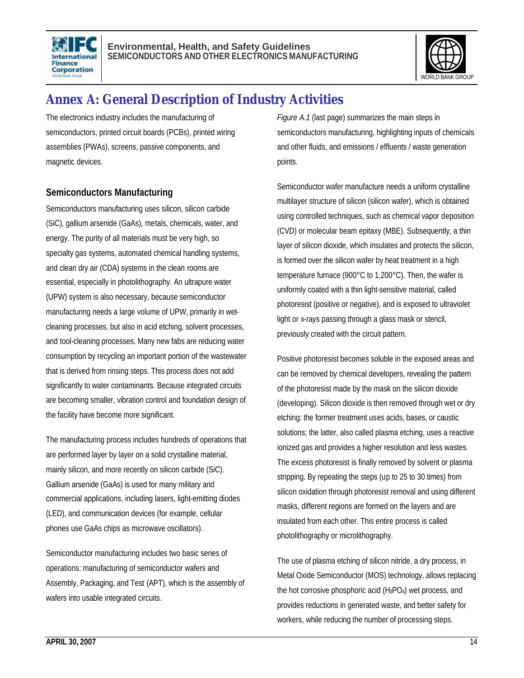



## **Annex A: General Description of Industry Activities**

The electronics industry includes the manufacturing of semiconductors, printed circuit boards (PCBs), printed wiring assemblies (PWAs), screens, passive components, and magnetic devices.

#### **Semiconductors Manufacturing**

Semiconductors manufacturing uses silicon, silicon carbide (SiC), gallium arsenide (GaAs), metals, chemicals, water, and energy. The purity of all materials must be very high, so specialty gas systems, automated chemical handling systems, and clean dry air (CDA) systems in the clean rooms are essential, especially in photolithography. An ultrapure water (UPW) system is also necessary, because semiconductor manufacturing needs a large volume of UPW, primarily in wetcleaning processes, but also in acid etching, solvent processes, and tool-cleaning processes. Many new fabs are reducing water consumption by recycling an important portion of the wastewater that is derived from rinsing steps. This process does not add significantly to water contaminants. Because integrated circuits are becoming smaller, vibration control and foundation design of the facility have become more significant.

The manufacturing process includes hundreds of operations that are performed layer by layer on a solid crystalline material, mainly silicon, and more recently on silicon carbide (SiC). Gallium arsenide (GaAs) is used for many military and commercial applications, including lasers, light-emitting diodes (LED), and communication devices (for example, cellular phones use GaAs chips as microwave oscillators).

Semiconductor manufacturing includes two basic series of operations: manufacturing of semiconductor wafers and Assembly, Packaging, and Test (APT), which is the assembly of wafers into usable integrated circuits.

*Figure A.1* (last page) summarizes the main steps in semiconductors manufacturing, highlighting inputs of chemicals and other fluids, and emissions / effluents / waste generation points.

Semiconductor wafer manufacture needs a uniform crystalline multilayer structure of silicon (silicon wafer), which is obtained using controlled techniques, such as chemical vapor deposition (CVD) or molecular beam epitaxy (MBE). Subsequently, a thin layer of silicon dioxide, which insulates and protects the silicon, is formed over the silicon wafer by heat treatment in a high temperature furnace (900°C to 1,200°C). Then, the wafer is uniformly coated with a thin light-sensitive material, called photoresist (positive or negative), and is exposed to ultraviolet light or x-rays passing through a glass mask or stencil, previously created with the circuit pattern.

Positive photoresist becomes soluble in the exposed areas and can be removed by chemical developers, revealing the pattern of the photoresist made by the mask on the silicon dioxide (developing). Silicon dioxide is then removed through wet or dry etching: the former treatment uses acids, bases, or caustic solutions; the latter, also called plasma etching, uses a reactive ionized gas and provides a higher resolution and less wastes. The excess photoresist is finally removed by solvent or plasma stripping. By repeating the steps (up to 25 to 30 times) from silicon oxidation through photoresist removal and using different masks, different regions are formed on the layers and are insulated from each other. This entire process is called photolithography or microlithography.

The use of plasma etching of silicon nitride, a dry process, in Metal Oxide Semiconductor (MOS) technology, allows replacing the hot corrosive phosphoric acid  $(H_3PO_4)$  wet process, and provides reductions in generated waste, and better safety for workers, while reducing the number of processing steps.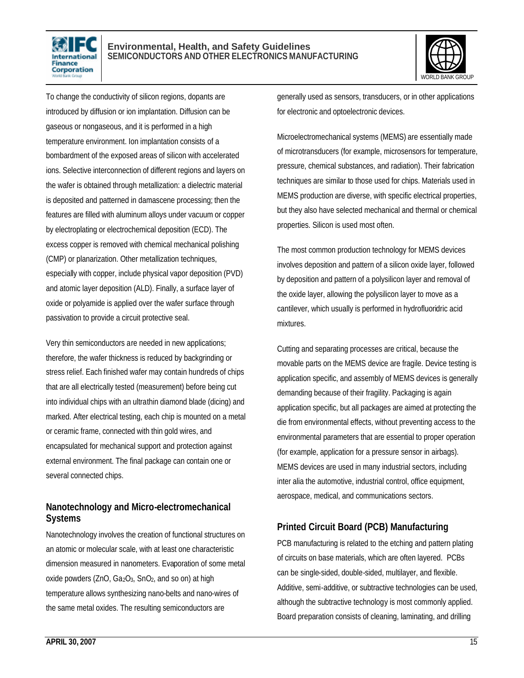



To change the conductivity of silicon regions, dopants are introduced by diffusion or ion implantation. Diffusion can be gaseous or nongaseous, and it is performed in a high temperature environment. Ion implantation consists of a bombardment of the exposed areas of silicon with accelerated ions. Selective interconnection of different regions and layers on the wafer is obtained through metallization: a dielectric material is deposited and patterned in damascene processing; then the features are filled with aluminum alloys under vacuum or copper by electroplating or electrochemical deposition (ECD). The excess copper is removed with chemical mechanical polishing (CMP) or planarization. Other metallization techniques, especially with copper, include physical vapor deposition (PVD) and atomic layer deposition (ALD). Finally, a surface layer of oxide or polyamide is applied over the wafer surface through passivation to provide a circuit protective seal.

Very thin semiconductors are needed in new applications; therefore, the wafer thickness is reduced by backgrinding or stress relief. Each finished wafer may contain hundreds of chips that are all electrically tested (measurement) before being cut into individual chips with an ultrathin diamond blade (dicing) and marked. After electrical testing, each chip is mounted on a metal or ceramic frame, connected with thin gold wires, and encapsulated for mechanical support and protection against external environment. The final package can contain one or several connected chips.

#### **Nanotechnology and Micro-electromechanical Systems**

Nanotechnology involves the creation of functional structures on an atomic or molecular scale, with at least one characteristic dimension measured in nanometers. Evaporation of some metal oxide powders (ZnO, Ga<sub>2</sub>O<sub>3</sub>, SnO<sub>2</sub>, and so on) at high temperature allows synthesizing nano-belts and nano-wires of the same metal oxides. The resulting semiconductors are

generally used as sensors, transducers, or in other applications for electronic and optoelectronic devices.

Microelectromechanical systems (MEMS) are essentially made of microtransducers (for example, microsensors for temperature, pressure, chemical substances, and radiation). Their fabrication techniques are similar to those used for chips. Materials used in MEMS production are diverse, with specific electrical properties, but they also have selected mechanical and thermal or chemical properties. Silicon is used most often.

The most common production technology for MEMS devices involves deposition and pattern of a silicon oxide layer, followed by deposition and pattern of a polysilicon layer and removal of the oxide layer, allowing the polysilicon layer to move as a cantilever, which usually is performed in hydrofluoridric acid mixtures.

Cutting and separating processes are critical, because the movable parts on the MEMS device are fragile. Device testing is application specific, and assembly of MEMS devices is generally demanding because of their fragility. Packaging is again application specific, but all packages are aimed at protecting the die from environmental effects, without preventing access to the environmental parameters that are essential to proper operation (for example, application for a pressure sensor in airbags). MEMS devices are used in many industrial sectors, including inter alia the automotive, industrial control, office equipment, aerospace, medical, and communications sectors.

#### **Printed Circuit Board (PCB) Manufacturing**

PCB manufacturing is related to the etching and pattern plating of circuits on base materials, which are often layered. PCBs can be single-sided, double-sided, multilayer, and flexible. Additive, semi-additive, or subtractive technologies can be used, although the subtractive technology is most commonly applied. Board preparation consists of cleaning, laminating, and drilling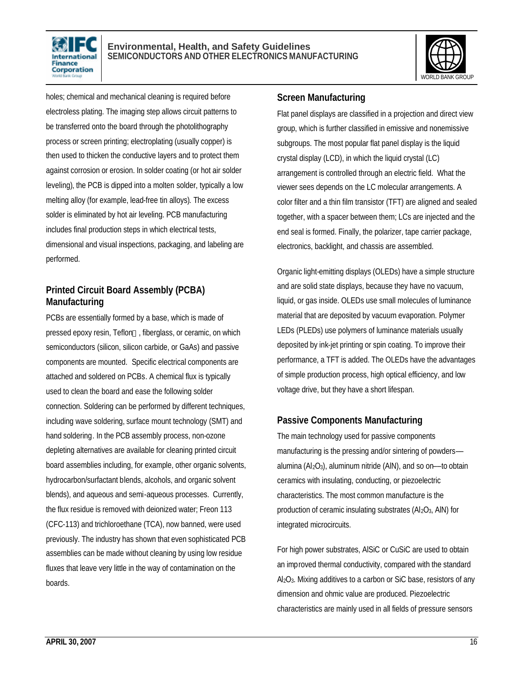



holes; chemical and mechanical cleaning is required before electroless plating. The imaging step allows circuit patterns to be transferred onto the board through the photolithography process or screen printing; electroplating (usually copper) is then used to thicken the conductive layers and to protect them against corrosion or erosion. In solder coating (or hot air solder leveling), the PCB is dipped into a molten solder, typically a low melting alloy (for example, lead-free tin alloys). The excess solder is eliminated by hot air leveling. PCB manufacturing includes final production steps in which electrical tests, dimensional and visual inspections, packaging, and labeling are performed.

#### **Printed Circuit Board Assembly (PCBA) Manufacturing**

PCBs are essentially formed by a base, which is made of pressed epoxy resin, Teflon<sup>™</sup>, fiberglass, or ceramic, on which semiconductors (silicon, silicon carbide, or GaAs) and passive components are mounted. Specific electrical components are attached and soldered on PCBs. A chemical flux is typically used to clean the board and ease the following solder connection. Soldering can be performed by different techniques, including wave soldering, surface mount technology (SMT) and hand soldering. In the PCB assembly process, non-ozone depleting alternatives are available for cleaning printed circuit board assemblies including, for example, other organic solvents, hydrocarbon/surfactant blends, alcohols, and organic solvent blends), and aqueous and semi-aqueous processes. Currently, the flux residue is removed with deionized water; Freon 113 (CFC-113) and trichloroethane (TCA), now banned, were used previously. The industry has shown that even sophisticated PCB assemblies can be made without cleaning by using low residue fluxes that leave very little in the way of contamination on the boards.

#### **Screen Manufacturing**

Flat panel displays are classified in a projection and direct view group, which is further classified in emissive and nonemissive subgroups. The most popular flat panel display is the liquid crystal display (LCD), in which the liquid crystal (LC) arrangement is controlled through an electric field. What the viewer sees depends on the LC molecular arrangements. A color filter and a thin film transistor (TFT) are aligned and sealed together, with a spacer between them; LCs are injected and the end seal is formed. Finally, the polarizer, tape carrier package, electronics, backlight, and chassis are assembled.

Organic light-emitting displays (OLEDs) have a simple structure and are solid state displays, because they have no vacuum, liquid, or gas inside. OLEDs use small molecules of luminance material that are deposited by vacuum evaporation. Polymer LEDs (PLEDs) use polymers of luminance materials usually deposited by ink-jet printing or spin coating. To improve their performance, a TFT is added. The OLEDs have the advantages of simple production process, high optical efficiency, and low voltage drive, but they have a short lifespan.

#### **Passive Components Manufacturing**

The main technology used for passive components manufacturing is the pressing and/or sintering of powders–– alumina ( $Al_2O_3$ ), aluminum nitride (AIN), and so on--to obtain ceramics with insulating, conducting, or piezoelectric characteristics. The most common manufacture is the production of ceramic insulating substrates  $(AI_2O_3, AIN)$  for integrated microcircuits.

For high power substrates, AlSiC or CuSiC are used to obtain an improved thermal conductivity, compared with the standard Al2O3. Mixing additives to a carbon or SiC base, resistors of any dimension and ohmic value are produced. Piezoelectric characteristics are mainly used in all fields of pressure sensors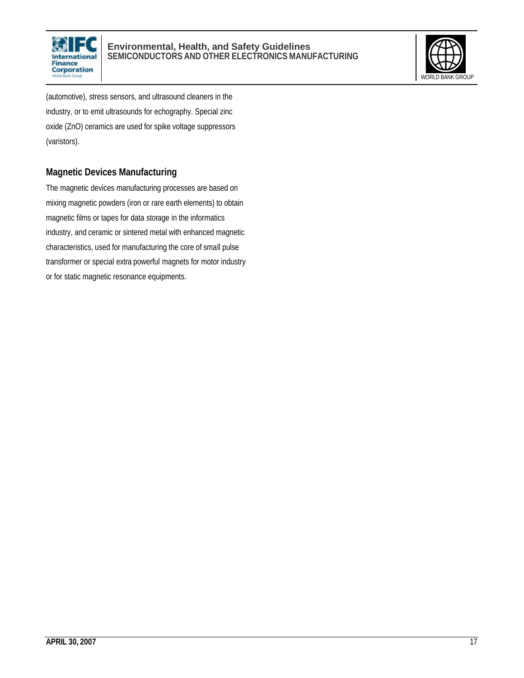



(automotive), stress sensors, and ultrasound cleaners in the industry, or to emit ultrasounds for echography. Special zinc oxide (ZnO) ceramics are used for spike voltage suppressors (varistors).

#### **Magnetic Devices Manufacturing**

The magnetic devices manufacturing processes are based on mixing magnetic powders (iron or rare earth elements) to obtain magnetic films or tapes for data storage in the informatics industry, and ceramic or sintered metal with enhanced magnetic characteristics, used for manufacturing the core of small pulse transformer or special extra powerful magnets for motor industry or for static magnetic resonance equipments.